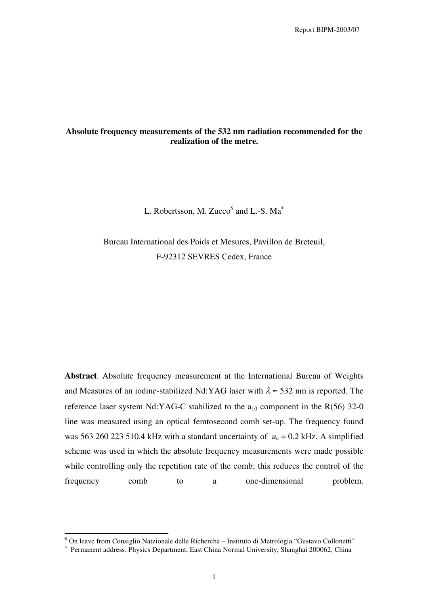# **Absolute frequency measurements of the 532 nm radiation recommended for the realization of the metre.**

L. Robertsson, M. Zucco $^{\$}$  and L.-S. Ma $^{\ast}$ 

Bureau International des Poids et Mesures, Pavillon de Breteuil, F-92312 SEVRES Cedex, France

**Abstract**. Absolute frequency measurement at the International Bureau of Weights and Measures of an iodine-stabilized Nd:YAG laser with  $\lambda \approx 532$  nm is reported. The reference laser system Nd:YAG-C stabilized to the  $a_{10}$  component in the R(56) 32-0 line was measured using an optical femtosecond comb set-up. The frequency found was 563 260 223 510.4 kHz with a standard uncertainty of  $u_c = 0.2$  kHz. A simplified scheme was used in which the absolute frequency measurements were made possible while controlling only the repetition rate of the comb; this reduces the control of the frequency comb to a one-dimensional problem.

On leave from Consiglio Natzionale delle Richerche – Instituto di Metrologia "Gustavo Collonetti"

<sup>∗</sup> Permanent address. Physics Department, East China Normal University, Shanghai 200062, China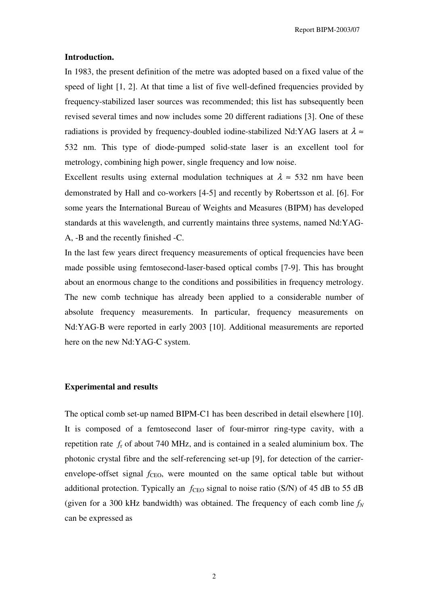#### **Introduction.**

In 1983, the present definition of the metre was adopted based on a fixed value of the speed of light [1, 2]. At that time a list of five well-defined frequencies provided by frequency-stabilized laser sources was recommended; this list has subsequently been revised several times and now includes some 20 different radiations [3]. One of these radiations is provided by frequency-doubled iodine-stabilized Nd:YAG lasers at  $\lambda \approx$ 532 nm. This type of diode-pumped solid-state laser is an excellent tool for metrology, combining high power, single frequency and low noise.

Excellent results using external modulation techniques at  $\lambda \approx 532$  nm have been demonstrated by Hall and co-workers [4-5] and recently by Robertsson et al. [6]. For some years the International Bureau of Weights and Measures (BIPM) has developed standards at this wavelength, and currently maintains three systems, named Nd:YAG-A, -B and the recently finished -C.

In the last few years direct frequency measurements of optical frequencies have been made possible using femtosecond-laser-based optical combs [7-9]. This has brought about an enormous change to the conditions and possibilities in frequency metrology. The new comb technique has already been applied to a considerable number of absolute frequency measurements. In particular, frequency measurements on Nd:YAG-B were reported in early 2003 [10]. Additional measurements are reported here on the new Nd:YAG-C system.

### **Experimental and results**

The optical comb set-up named BIPM-C1 has been described in detail elsewhere [10]. It is composed of a femtosecond laser of four-mirror ring-type cavity, with a repetition rate *f*<sup>r</sup> of about 740 MHz, and is contained in a sealed aluminium box. The photonic crystal fibre and the self-referencing set-up [9], for detection of the carrierenvelope-offset signal  $f_{\text{CEO}}$ , were mounted on the same optical table but without additional protection. Typically an  $f_{\text{CFO}}$  signal to noise ratio (S/N) of 45 dB to 55 dB (given for a 300 kHz bandwidth) was obtained. The frequency of each comb line *f<sup>N</sup>* can be expressed as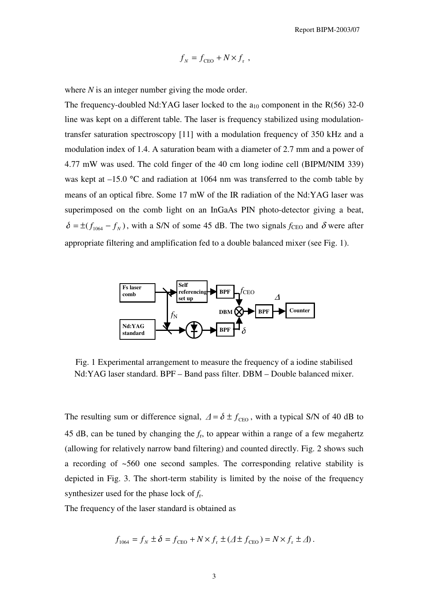$$
f_N = f_{\text{CEO}} + N \times f_r ,
$$

where *N* is an integer number giving the mode order.

The frequency-doubled Nd:YAG laser locked to the  $a_{10}$  component in the R(56) 32-0 line was kept on a different table. The laser is frequency stabilized using modulationtransfer saturation spectroscopy [11] with a modulation frequency of 350 kHz and a modulation index of 1.4. A saturation beam with a diameter of 2.7 mm and a power of 4.77 mW was used. The cold finger of the 40 cm long iodine cell (BIPM/NIM 339) was kept at  $-15.0$  °C and radiation at 1064 nm was transferred to the comb table by means of an optical fibre. Some 17 mW of the IR radiation of the Nd:YAG laser was superimposed on the comb light on an InGaAs PIN photo-detector giving a beat,  $\delta = \pm (f_{1064} - f_{N})$ , with a S/N of some 45 dB. The two signals  $f_{CEO}$  and  $\delta$  were after appropriate filtering and amplification fed to a double balanced mixer (see Fig. 1).



Fig. 1 Experimental arrangement to measure the frequency of a iodine stabilised Nd:YAG laser standard. BPF – Band pass filter. DBM – Double balanced mixer.

The resulting sum or difference signal,  $\Delta = \delta \pm f_{\text{CFO}}$ , with a typical S/N of 40 dB to 45 dB, can be tuned by changing the *f*<sup>r</sup> , to appear within a range of a few megahertz (allowing for relatively narrow band filtering) and counted directly. Fig. 2 shows such a recording of ~560 one second samples. The corresponding relative stability is depicted in Fig. 3. The short-term stability is limited by the noise of the frequency synthesizer used for the phase lock of *f*<sup>r</sup> .

The frequency of the laser standard is obtained as

$$
f_{1064} = f_N \pm \delta = f_{\text{CEO}} + N \times f_r \pm (\Delta \pm f_{\text{CEO}}) = N \times f_r \pm \Delta).
$$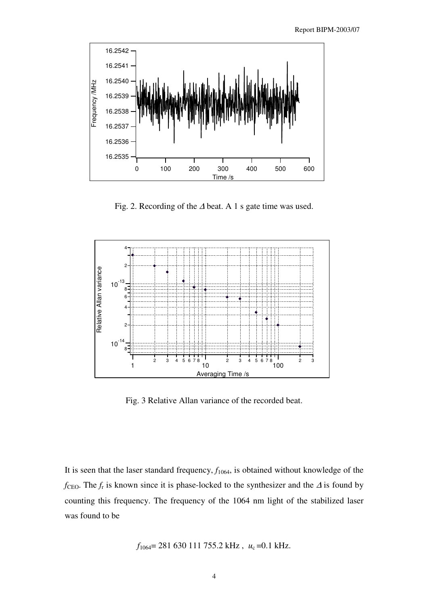

Fig. 2. Recording of the <sup>∆</sup> beat. A 1 s gate time was used.



Fig. 3 Relative Allan variance of the recorded beat.

It is seen that the laser standard frequency,  $f_{1064}$ , is obtained without knowledge of the *f*<sub>CEO</sub>. The *f*<sub>r</sub> is known since it is phase-locked to the synthesizer and the ∆ is found by counting this frequency. The frequency of the 1064 nm light of the stabilized laser was found to be

$$
f_{1064}
$$
= 281 630 111 755.2 kHz,  $u_c$ =0.1 kHz.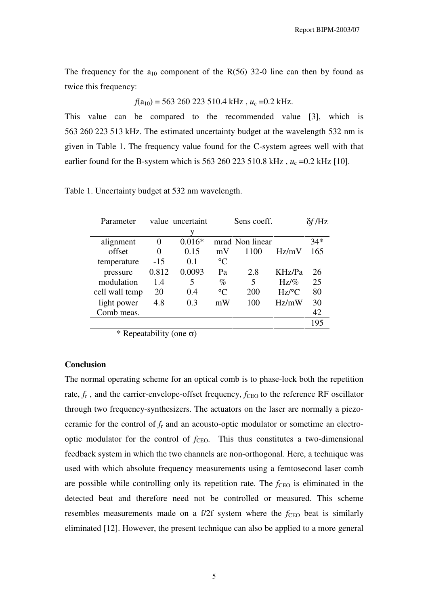The frequency for the  $a_{10}$  component of the R(56) 32-0 line can then by found as twice this frequency:

 $f(a_{10})$  = 563 260 223 510.4 kHz,  $u_c$  =0.2 kHz.

This value can be compared to the recommended value [3], which is 563 260 223 513 kHz. The estimated uncertainty budget at the wavelength 532 nm is given in Table 1. The frequency value found for the C-system agrees well with that earlier found for the B-system which is 563 260 223 510.8 kHz,  $u_c = 0.2$  kHz [10].

| Parameter      |          | value uncertaint |                 | Sens coeff.     |                     | $\delta f / \text{Hz}$ |
|----------------|----------|------------------|-----------------|-----------------|---------------------|------------------------|
|                |          | V                |                 |                 |                     |                        |
| alignment      | 0        | $0.016*$         |                 | mrad Non linear |                     | $34*$                  |
| offset         | $\theta$ | 0.15             | mV              | 1100            | Hz/mV               | 165                    |
| temperature    | $-15$    | 0.1              | $\rm ^{\circ}C$ |                 |                     |                        |
| pressure       | 0.812    | 0.0093           | Pa              | 2.8             | KHz/Pa              | 26                     |
| modulation     | 1.4      | 5                | $\%$            | 5               | Hz/%                | 25                     |
| cell wall temp | 20       | 0.4              | $\rm ^{\circ}C$ | 200             | $Hz$ <sup>o</sup> C | 80                     |
| light power    | 4.8      | 0.3              | mW              | 100             | Hz/mW               | 30                     |
| Comb meas.     |          |                  |                 |                 |                     | 42                     |
|                |          |                  |                 |                 |                     | 195                    |

Table 1. Uncertainty budget at 532 nm wavelength.

\* Repeatability (one  $\sigma$ )

## **Conclusion**

The normal operating scheme for an optical comb is to phase-lock both the repetition rate,  $f_r$ , and the carrier-envelope-offset frequency,  $f_{\text{CEO}}$  to the reference RF oscillator through two frequency-synthesizers. The actuators on the laser are normally a piezoceramic for the control of *f*<sup>r</sup> and an acousto-optic modulator or sometime an electrooptic modulator for the control of  $f_{\text{CEO}}$ . This thus constitutes a two-dimensional feedback system in which the two channels are non-orthogonal. Here, a technique was used with which absolute frequency measurements using a femtosecond laser comb are possible while controlling only its repetition rate. The  $f_{\text{CEO}}$  is eliminated in the detected beat and therefore need not be controlled or measured. This scheme resembles measurements made on a f/2f system where the  $f_{\text{CEO}}$  beat is similarly eliminated [12]. However, the present technique can also be applied to a more general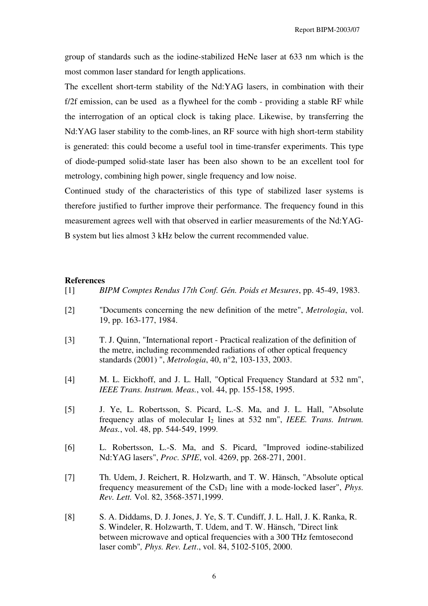group of standards such as the iodine-stabilized HeNe laser at 633 nm which is the most common laser standard for length applications.

The excellent short-term stability of the Nd:YAG lasers, in combination with their f/2f emission, can be used as a flywheel for the comb - providing a stable RF while the interrogation of an optical clock is taking place. Likewise, by transferring the Nd:YAG laser stability to the comb-lines, an RF source with high short-term stability is generated: this could become a useful tool in time-transfer experiments. This type of diode-pumped solid-state laser has been also shown to be an excellent tool for metrology, combining high power, single frequency and low noise.

Continued study of the characteristics of this type of stabilized laser systems is therefore justified to further improve their performance. The frequency found in this measurement agrees well with that observed in earlier measurements of the Nd:YAG-B system but lies almost 3 kHz below the current recommended value.

#### **References**

- [1] *BIPM Comptes Rendus 17th Conf. Gén. Poids et Mesures*, pp. 45-49, 1983.
- [2] "Documents concerning the new definition of the metre", *Metrologia*, vol. 19, pp. 163-177, 1984.
- [3] T. J. Quinn, "International report Practical realization of the definition of the metre, including recommended radiations of other optical frequency standards (2001) ", *Metrologia*, 40, n°2, 103-133, 2003.
- [4] M. L. Eickhoff, and J. L. Hall, "Optical Frequency Standard at 532 nm", *IEEE Trans. Instrum. Meas.*, vol. 44, pp. 155-158, 1995.
- [5] J. Ye, L. Robertsson, S. Picard, L.-S. Ma, and J. L. Hall, "Absolute frequency atlas of molecular I<sup>2</sup> lines at 532 nm", *IEEE. Trans. Intrum. Meas.*, vol. 48, pp. 544-549, 1999.
- [6] L. Robertsson, L.-S. Ma, and S. Picard, "Improved iodine-stabilized Nd:YAG lasers", *Proc. SPIE*, vol. 4269, pp. 268-271, 2001.
- [7] Th. Udem, J. Reichert, R. Holzwarth, and T. W. Hänsch, "Absolute optical frequency measurement of the  $CSD_1$  line with a mode-locked laser", *Phys. Rev. Lett.* Vol. 82, 3568-3571,1999.
- [8] S. A. Diddams, D. J. Jones, J. Ye, S. T. Cundiff, J. L. Hall, J. K. Ranka, R. S. Windeler, R. Holzwarth, T. Udem, and T. W. Hänsch, "Direct link between microwave and optical frequencies with a 300 THz femtosecond laser comb"*, Phys. Rev. Lett*., vol. 84, 5102-5105, 2000.